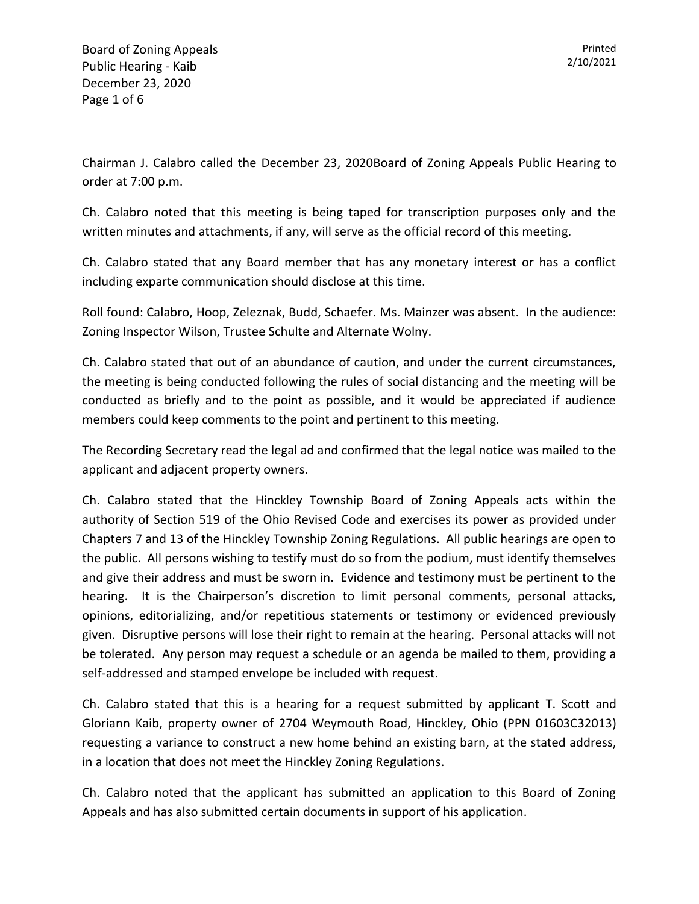Chairman J. Calabro called the December 23, 2020Board of Zoning Appeals Public Hearing to order at 7:00 p.m.

Ch. Calabro noted that this meeting is being taped for transcription purposes only and the written minutes and attachments, if any, will serve as the official record of this meeting.

Ch. Calabro stated that any Board member that has any monetary interest or has a conflict including exparte communication should disclose at this time.

Roll found: Calabro, Hoop, Zeleznak, Budd, Schaefer. Ms. Mainzer was absent. In the audience: Zoning Inspector Wilson, Trustee Schulte and Alternate Wolny.

Ch. Calabro stated that out of an abundance of caution, and under the current circumstances, the meeting is being conducted following the rules of social distancing and the meeting will be conducted as briefly and to the point as possible, and it would be appreciated if audience members could keep comments to the point and pertinent to this meeting.

The Recording Secretary read the legal ad and confirmed that the legal notice was mailed to the applicant and adjacent property owners.

Ch. Calabro stated that the Hinckley Township Board of Zoning Appeals acts within the authority of Section 519 of the Ohio Revised Code and exercises its power as provided under Chapters 7 and 13 of the Hinckley Township Zoning Regulations. All public hearings are open to the public. All persons wishing to testify must do so from the podium, must identify themselves and give their address and must be sworn in. Evidence and testimony must be pertinent to the hearing. It is the Chairperson's discretion to limit personal comments, personal attacks, opinions, editorializing, and/or repetitious statements or testimony or evidenced previously given. Disruptive persons will lose their right to remain at the hearing. Personal attacks will not be tolerated. Any person may request a schedule or an agenda be mailed to them, providing a self-addressed and stamped envelope be included with request.

Ch. Calabro stated that this is a hearing for a request submitted by applicant T. Scott and Gloriann Kaib, property owner of 2704 Weymouth Road, Hinckley, Ohio (PPN 01603C32013) requesting a variance to construct a new home behind an existing barn, at the stated address, in a location that does not meet the Hinckley Zoning Regulations.

Ch. Calabro noted that the applicant has submitted an application to this Board of Zoning Appeals and has also submitted certain documents in support of his application.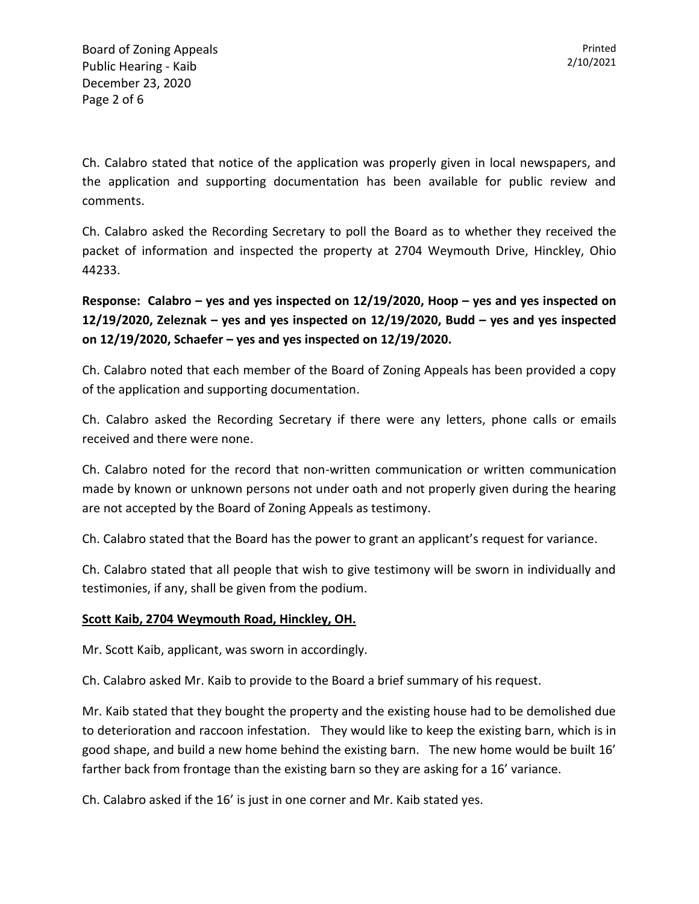Ch. Calabro stated that notice of the application was properly given in local newspapers, and the application and supporting documentation has been available for public review and comments.

Ch. Calabro asked the Recording Secretary to poll the Board as to whether they received the packet of information and inspected the property at 2704 Weymouth Drive, Hinckley, Ohio 44233.

**Response: Calabro – yes and yes inspected on 12/19/2020, Hoop – yes and yes inspected on 12/19/2020, Zeleznak – yes and yes inspected on 12/19/2020, Budd – yes and yes inspected on 12/19/2020, Schaefer – yes and yes inspected on 12/19/2020.**

Ch. Calabro noted that each member of the Board of Zoning Appeals has been provided a copy of the application and supporting documentation.

Ch. Calabro asked the Recording Secretary if there were any letters, phone calls or emails received and there were none.

Ch. Calabro noted for the record that non-written communication or written communication made by known or unknown persons not under oath and not properly given during the hearing are not accepted by the Board of Zoning Appeals as testimony.

Ch. Calabro stated that the Board has the power to grant an applicant's request for variance.

Ch. Calabro stated that all people that wish to give testimony will be sworn in individually and testimonies, if any, shall be given from the podium.

## **Scott Kaib, 2704 Weymouth Road, Hinckley, OH.**

Mr. Scott Kaib, applicant, was sworn in accordingly.

Ch. Calabro asked Mr. Kaib to provide to the Board a brief summary of his request.

Mr. Kaib stated that they bought the property and the existing house had to be demolished due to deterioration and raccoon infestation. They would like to keep the existing barn, which is in good shape, and build a new home behind the existing barn. The new home would be built 16' farther back from frontage than the existing barn so they are asking for a 16' variance.

Ch. Calabro asked if the 16' is just in one corner and Mr. Kaib stated yes.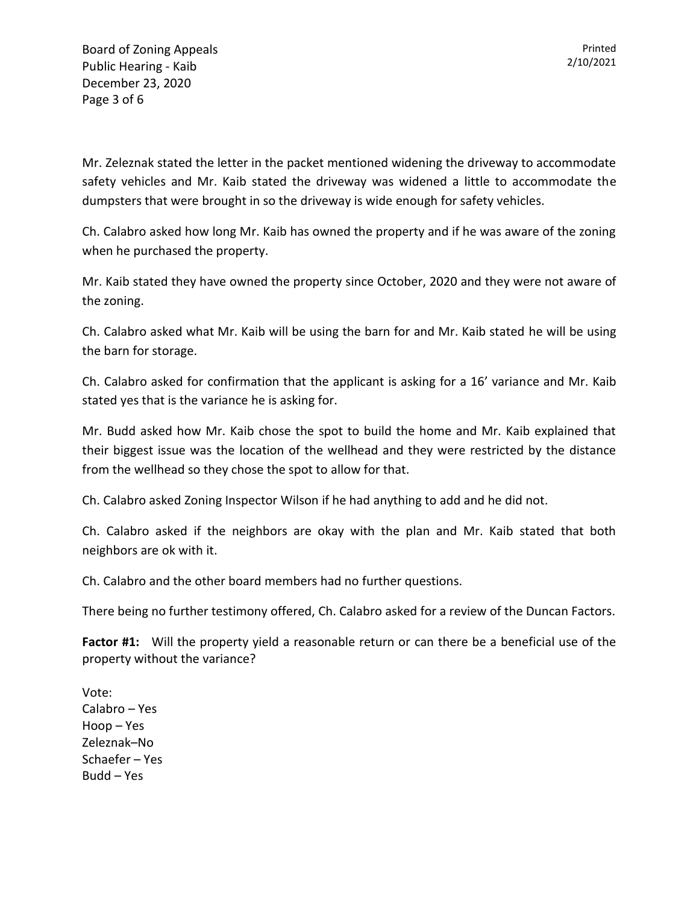Mr. Zeleznak stated the letter in the packet mentioned widening the driveway to accommodate safety vehicles and Mr. Kaib stated the driveway was widened a little to accommodate the dumpsters that were brought in so the driveway is wide enough for safety vehicles.

Ch. Calabro asked how long Mr. Kaib has owned the property and if he was aware of the zoning when he purchased the property.

Mr. Kaib stated they have owned the property since October, 2020 and they were not aware of the zoning.

Ch. Calabro asked what Mr. Kaib will be using the barn for and Mr. Kaib stated he will be using the barn for storage.

Ch. Calabro asked for confirmation that the applicant is asking for a 16' variance and Mr. Kaib stated yes that is the variance he is asking for.

Mr. Budd asked how Mr. Kaib chose the spot to build the home and Mr. Kaib explained that their biggest issue was the location of the wellhead and they were restricted by the distance from the wellhead so they chose the spot to allow for that.

Ch. Calabro asked Zoning Inspector Wilson if he had anything to add and he did not.

Ch. Calabro asked if the neighbors are okay with the plan and Mr. Kaib stated that both neighbors are ok with it.

Ch. Calabro and the other board members had no further questions.

There being no further testimony offered, Ch. Calabro asked for a review of the Duncan Factors.

**Factor #1:** Will the property yield a reasonable return or can there be a beneficial use of the property without the variance?

Vote: Calabro – Yes Hoop – Yes Zeleznak–No Schaefer – Yes Budd – Yes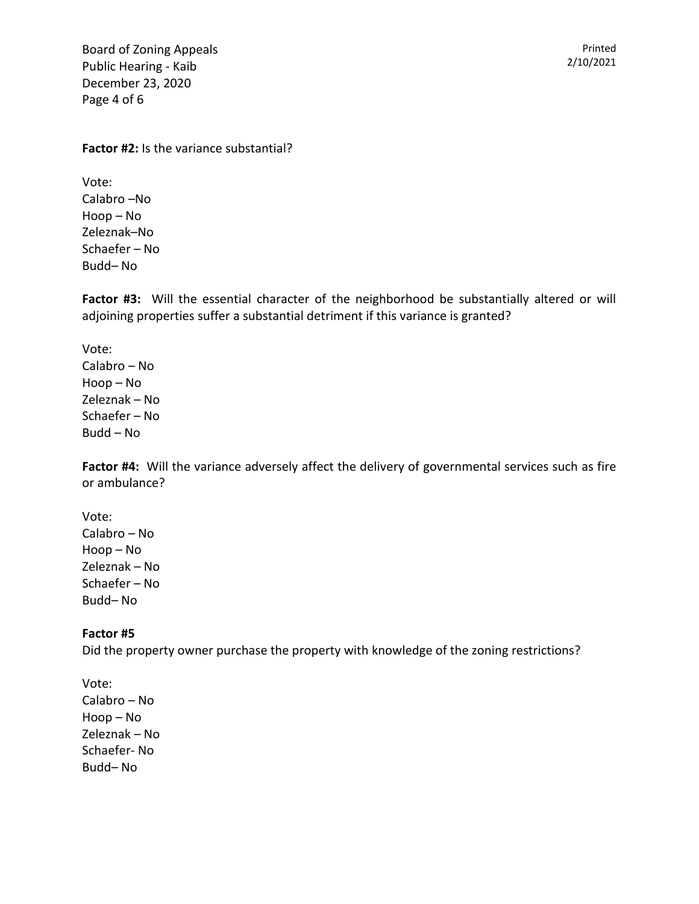Board of Zoning Appeals Public Hearing - Kaib December 23, 2020 Page 4 of 6

Printed 2/10/2021

**Factor #2:** Is the variance substantial?

Vote: Calabro –No Hoop – No Zeleznak–No Schaefer – No Budd– No

Factor #3: Will the essential character of the neighborhood be substantially altered or will adjoining properties suffer a substantial detriment if this variance is granted?

Vote: Calabro – No Hoop – No Zeleznak – No Schaefer – No Budd – No

Factor #4: Will the variance adversely affect the delivery of governmental services such as fire or ambulance?

Vote: Calabro – No Hoop – No Zeleznak – No Schaefer – No Budd– No

## **Factor #5**

Did the property owner purchase the property with knowledge of the zoning restrictions?

Vote: Calabro – No Hoop – No Zeleznak – No Schaefer- No Budd– No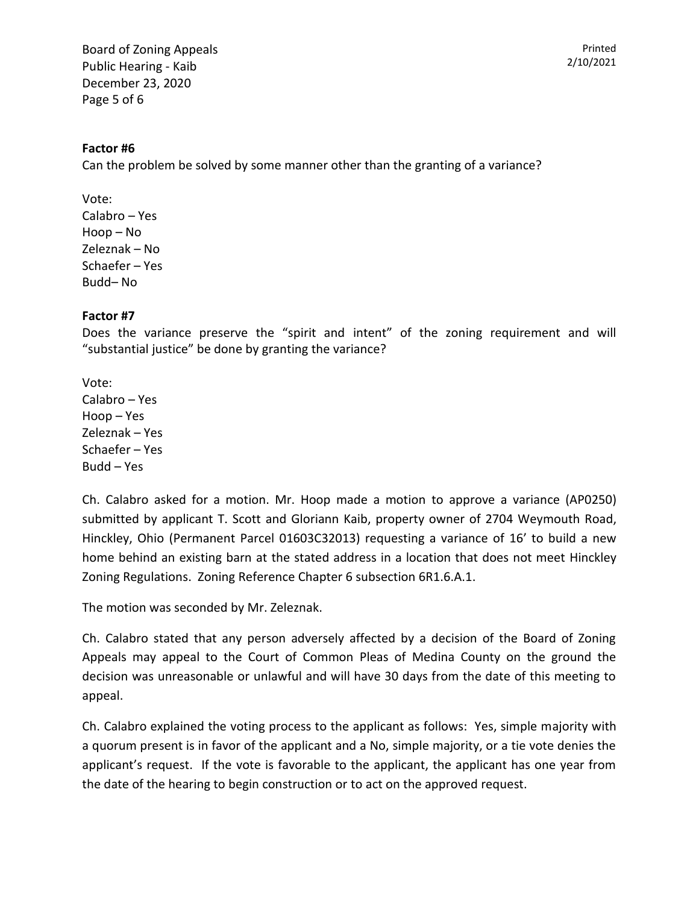Board of Zoning Appeals Public Hearing - Kaib December 23, 2020 Page 5 of 6

## **Factor #6**

Can the problem be solved by some manner other than the granting of a variance?

Vote: Calabro – Yes Hoop – No Zeleznak – No Schaefer – Yes Budd– No

## **Factor #7**

Does the variance preserve the "spirit and intent" of the zoning requirement and will "substantial justice" be done by granting the variance?

Vote: Calabro – Yes Hoop – Yes Zeleznak – Yes Schaefer – Yes Budd – Yes

Ch. Calabro asked for a motion. Mr. Hoop made a motion to approve a variance (AP0250) submitted by applicant T. Scott and Gloriann Kaib, property owner of 2704 Weymouth Road, Hinckley, Ohio (Permanent Parcel 01603C32013) requesting a variance of 16' to build a new home behind an existing barn at the stated address in a location that does not meet Hinckley Zoning Regulations. Zoning Reference Chapter 6 subsection 6R1.6.A.1.

The motion was seconded by Mr. Zeleznak.

Ch. Calabro stated that any person adversely affected by a decision of the Board of Zoning Appeals may appeal to the Court of Common Pleas of Medina County on the ground the decision was unreasonable or unlawful and will have 30 days from the date of this meeting to appeal.

Ch. Calabro explained the voting process to the applicant as follows: Yes, simple majority with a quorum present is in favor of the applicant and a No, simple majority, or a tie vote denies the applicant's request. If the vote is favorable to the applicant, the applicant has one year from the date of the hearing to begin construction or to act on the approved request.